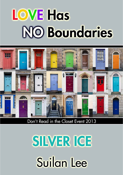# **LOVE Has NO Boundaries**



Don't Read in the Closet Event 2013

# SILVER ICE Suilan Lee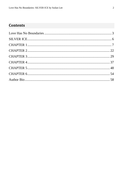### **Contents**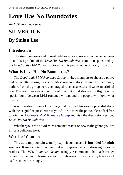# <span id="page-2-0"></span>**Love Has No Boundaries**

*An M/M Romance series*

## **SILVER ICE By Suilan Lee**

#### **Introduction**

The story you are about to read celebrates love, sex and romance between men. It is a product of the *Love Has No Boundaries* promotion sponsored by the *Goodreads M/M Romance Group* and is published as a free gift to you.

#### **What Is Love Has No Boundaries?**

The *Goodreads M/M Romance Group* invited members to choose a photo and pen a letter asking for a short M/M romance story inspired by the image; authors from the group were encouraged to select a letter and write an original tale. The result was an outpouring of creativity that shone a spotlight on the special bond between M/M romance writers and the people who love what they do.

A written description of the image that inspired this story is provided along with the original request letter. If you'd like to view the photo, please feel free to join the [Goodreads M/M Romance Group](http://www.goodreads.com/group/show/20149-m-m-romance) and visit the discussion section: *Love Has No Boundaries*.

Whether you are an avid M/M romance reader or new to the genre, you are in for a delicious treat.

#### **Words of Caution**

This story may contain sexually explicit content and is **intended for adult readers.** It may contain content that is disagreeable or distressing to some readers. The *M/M Romance Group* strongly recommends that each reader review the General Information section before each story for story tags as well as for content warnings.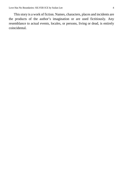This story is a work of fiction. Names, characters, places and incidents are the products of the author's imagination or are used fictitiously. Any resemblance to actual events, locales, or persons, living or dead, is entirely coincidental.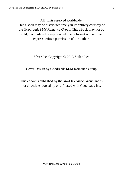All rights reserved worldwide.

This eBook may be distributed freely in its entirety courtesy of the *Goodreads M/M Romance Group*. This eBook may not be sold, manipulated or reproduced in any format without the express written permission of the author.

#### Silver Ice, Copyright © 2013 Suilan Lee

Cover Design by Goodreads M/M Romance Group

This ebook is published by the *M/M Romance Group* and is not directly endorsed by or affiliated with Goodreads Inc.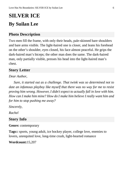# <span id="page-5-0"></span>**SILVER ICE By Suilan Lee**

### **Photo Description**

Two men fill the frame, with only their heads, pale-skinned bare shoulders and bare arms visible. The light-haired one is closer, and leans his forehead on the other's shoulder, eyes closed, his face almost peaceful. He grips the dark-haired man's biceps; the other man does the same. The dark-haired man, only partially visible, presses his head into the light-haired man's chest.

#### **Story Letter**

#### *Dear Author,*

*Sure, it started out as a challenge. That twink was so determined not to date an infamous playboy like myself that there was no way for me to resist proving him wrong. However, I didn't expect to actually fall in love with him. How can I make him mine? How do I make him believe I really want him and for him to stop pushing me away?*

*Sincerely,*

*Rachel*

#### **Story Info**

**Genre:** contemporary

**Tags::** sports, young adult, ice hockey player, college love, enemies to lovers, unrequited love, long-time crush, light-hearted romance

**Wordcount:**15,207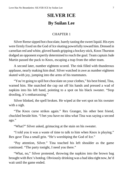## **SILVER ICE By Suilan Lee**

#### CHAPTER 1

<span id="page-6-0"></span>Silver Reese sipped hot chocolate, barely tasting the sweet liquid. His eyes were firmly fixed on the God of Ice skating powerfully toward him. Dressed in carnelian red and white, gloved hands gripping a hockey stick, Knox Thurston dodged an opponent expertly determined to reach the goal. Team captain Jude Martin passed the puck to Knox, escaping a trap from the other team.

A second later, number eighteen scored. The rink filled with thunderous applause, nearly making him deaf. Silver watched in awe as number eighteen skated with joy, jumping into the arms of his teammates.

"You're going to spill hot chocolate on your clothes," his best friend, Tina, warned him. She snatched the cup out off his hands and pressed a wad of napkins into his left hand, pointing to a spot on his black sweater. "Stop drooling, it's embarrassing."

Silver blinked, the spell broken. He wiped at the wet spot on his sweater with a sigh.

"The Knox curse strikes again." Rex Granger, his other best friend, chuckled beside him. "I bet you have no idea what Tina was saying a second ago."

"What?" Silver asked, grimacing at the stain on his sweater.

"I told you it was a waste of time to talk to him when Knox is playing." Rex gave Tina a small grin. "He's worshiping the God of Ice."

"Pay attention, Silver." Tina touched his left shoulder as the game continued. "The party tonight, I need you there."

"What, no," Silver protested, throwing the napkins into the brown bag brought with Rex's hotdog. Obviously drinking was a bad idea right now, he'd wait until the game ended.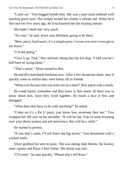"Come on," Tina begged beside him. She was a pint-sized redhead with startling green eyes. Her temper turned her cheeks a vibrant red. When he'd first met her five years ago, he'd nicknamed her the sizzling tomato.

She hadn't liked that very much.

"No way," he said. Knox was definitely going to be there.

"Beer, pizza, loud music, it's a simple party. Iswear you won't even get to see Knox"

"I'm not going."

"Give it up, Tina," Rex advised, biting into his hot dog. "I told you he's hell-bent on dying alone."

"That's mean." Silver turned to Rex.

He and Rex had dated freshman year. After a few disastrous dates, they'd quickly come to realize they were better off as friends.

"When was the last time you went out on a date?" Rex asked with a smirk.

He could barely remember and Rex knew it. Rex knew all there was to know about him, since they lived together. He made a face at Rex and shrugged.

"What does that have to do with anything?" he asked.

"Come on it's a Psi U party; you know how awesome they are." Tina wrapped her left arm on his shoulder. "It will be fun. You've been stressing over your thesis project and job interviews, this will be a relief."

He started to protest.

"If you don't come, I'll tell Knox the big secret," Tina threatened with a wicked smile.

Silver grabbed her arm in panic. She was dating Jude Martin, the hockey team captain and Knox's best friend. Her threat was real.

"I'll come," he said quickly. "Please don't tell Knox."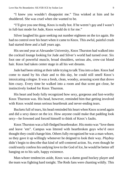"I knew you wouldn't disappoint me." Tina winked at him and he shuddered. She was cruel when she wanted to be.

"I'll give you one thing, Knox is really hot. If he weren't gay and I wasn't in full-lust mode for Jude, Knox would do it for me."

Silver laughed his gaze seeking out number eighteen on the ice again. He had no control over his heart when it came to Knox. This awful, painful crush had started three and a half years ago.

His second year at Alexander University, Knox Thurston had walked into the cocktail lounge looking for Jude and Silver's world had turned over. Six foot one of powerful muscle, broad shoulders, serious abs, crew-cut blond hair. Knox had taken center stage in all his wet dreams.

Jude had been sitting at their table trying to talk Tina into a date. Knox had come to stand by his chair and to this day, he could still smell Knox's intoxicating cologne. It was a fresh, clean, woodsy, arousing scent that drove him crazy. Every time he walked into a room and that scent got close, he instinctively looked for Knox Thurston.

His heart and body fully recognized how sexy, gorgeous and lust-worthy Knox Thurston was. His head, however, reminded him that getting involved with Knox would mean serious heartbreak and never-ending tears.

Buckets full of tears, his head reminded his heart when Knox scored again and did a sexy dance on the ice. How anyone could make that padding look sexy—he frowned and forced himself to think of Knox's faults.

Knox Thurston was a full-fledged heartbreaker. His motto was "love them and leave 'em". Campus was littered with heartbroken guys who'd once thought they could change him. Others fully recognized he was a man-whore, so they gave it up willingly whenever he deigned to look their way. *Playboy* didn't begin to describe that kind of self-centered action. So, even though he could easily confess his undying love to the God of Ice, he would be better off hanging on to his safe, happy existence.

Man-whore tendencies aside, Knox was a damn good hockey player and the team was fighting hard tonight. The Reds fans were chanting wildly. This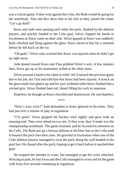was a crucial game, if they won against the Celts, the Reds would be going for the semifinals. Tina and Rex drew him to his feet as they joined the chant, "Let's go Red!"

Knox and Jude were passing each other the puck, flanked by the defense players, and quickly headed to the Celts goal. Silver clapped his hands in excitement as Knox came on their side. Silver gasped as Knox was suddenly body checked and flung against the glass. Knox stared at him for a moment before he fell back on the ice.

"Oh gods," Silver said, worried that Knox was injured when he didn't get up right away.

Jude skated toward Knox and Tina grabbed Silver's arm. A few minutes later, Knox got up as his teammates yelled at the other team.

Silver pressed a hand to his chest in relief. He'd missed the previous game due to his job, but Tina had told him that Knox had been injured. A knock on the glass made him glance up and his eyes widened when Knox flashed him a wicked grin. Silver flushed beet red, blood filling his cock in response.

*Hopeless*, he thought as Knox chuckled and skated away. *Hewas hopeless.*

\*\*\*\*

"How's your wrist?" Jude demanded as Knox glanced at the timer. They had just over a minute of play in regulation.

"I'm good." Knox gripped his hockey stick tightly and gave Jude an assuring nod. They were ahead two to one. If they won, they'd make it to the championship semifinals. The game resumed, and he focused his attention on the Celts. The Reds put up a furious defense at the blue line as the Celts tried to bounce the puck into their zone. He growled in frustration when one of the Celts defense players managed to swat the puck along the wall headed to the goal line. He chased after the puck, hoping to get it back before it reached their goal.

He stopped the attempt to score, but managed to get his wrist whacked. Wincing in pain, he lost focus and the Celts managed to score and tie the game with forty-five seconds remaining in regulation.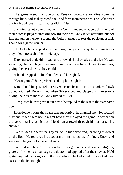The game went into overtime. Tension brought adrenaline coursing through his blood as they raced back and forth from net to net. The Celts were out for blood, but his teammates didn't falter.

Six minutes into overtime, and the Celts managed to race behind one of their defense players streaking toward their net. Knox raced after him but not fast enough. In the next second, the Celts managed to toss the puck under their goalie for a game winner.

The Celts fans erupted in a deafening roar joined in by the teammates as they piled into each other in victory.

Knox cursed under his breath and threw his hockey stick to the ice. Hewas sweating; they'd played like mad through an overtime of twenty minutes, giving the best defense they could.

A hand dropped on his shoulders and he sighed.

"Great game," Jude praised, shaking him slightly.

Knox found his gaze fell on Silver, seated beside Tina, his dark Mohawk tipped with red. Knox smiled when Silver stood and clapped with everyone giving their team morale. Knox turned to Jude.

"I'm pissed but we gave it our best," he replied as the rest of the teamcame over.

In the locker room, the coach was supportive; he thanked them for focused play and urged them not to regret how they'd played the game. Knox sat on the bench staring at his best friend run a towel through his hair after his shower.

"We missed the semifinals by an inch." Jude observed, throwing his towel on the floor. He retrieved his deodorant from his locker. "An inch, Knox, and we would be going to the semifinals."

"We did our best." Knox touched his right wrist and winced slightly, grateful for the fresh bandage the doctor had applied after the shower. He'd gotten injured blocking a shot the day before. The Celts had truly kicked their asses on the ice tonight.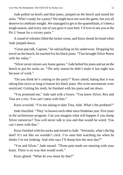Jude pulled on briefs and blue jeans, jumped on the bench and raised his arms. "Who's ready for a party? We might have not won the game, but you all deserve to celebrate tonight. We managed to get to the quarterfinals, it's been a tough season, and every one of you gave it your best. I'd love to see you at the Psi U house for a victory party."

A round of whistles filled the locker room, and Knox shook his head when Jude jumped down.

"Great pep talk, Captain," he said pulling on his underwear. Dropping his towel on the bench, he reached for his black jeans. "Tina brought Silver Reese with her today."

"Silver never misses any home games." Jude belted hisjeans and sat on the bench to put his socks on. "The only reason he didn't make it last night was because of work."

"Do you think he's coming to the party?" Knox asked, hating that it was taking him twice as long to button his black jeans. His wrist movements were restricted. Gritting his teeth, he finished with his jeans and sat down.

"You promised me," Jude said with a frown. "You know Silver, Rex and Tina are a trio. You can't mess with him."

Knox scowled. "I'm not asking to date Tina, Jude. What's the problem?"

Jude chuckled. "They've known each othersince freshman year. Five years in the architecture program. Can you imagine what will happen if you dump Silver tomorrow? Tina will never talk to you and that would be weird. You can't mess with that."

Knox finished with his socks and turned to Jude. "Seriously, what's the big deal? It's not like we wouldn't click. I've seen him watching me when he thinks I'm not looking. And who says I'll dump him the next day?"

"You and Silver," Jude mused. "Those pain meds are messing with your brain. There is no way that would work."

Knox glared. "What do you mean by that?"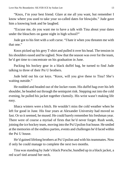"Knox, I'm your best friend. Glare at me all you want, but remember I know where you used to take your so-called dates for blowjobs." Jude gave him a knowing look and he laughed.

"Excuse me, do you want me to have a talk with Tina about your dates under the bleachers on game night in high school?"

Jude got to his feet with a soft curse. "I hate it when you threaten me with that one."

Knox picked up his grey T-shirt and pulled it over his head. The tension in his shoulders eased and he sighed. Now that the season was over for the team, he'd get time to concentrate on his graduation in June.

Packing his hockey gear in a black duffel bag, he turned to find Jude talking to three of their Psi U brothers.

Jude held out his car keys. "Knox, will you give these to Tina? She's waiting outside."

He nodded and headed out of the locker room. His duffel bag over his left shoulder, he headed out through the semiquiet rink. Stepping out into the cold evening, he pulled his jacket together clumsily. His wrist wasn't making life easy.

Ithaca winters were a bitch. He wouldn't miss the cold weather when he left for good in June. His four years at Alexander University had moved so fast. Or so it seemed, he mused. He could barely remember his freshman year. There were of course a myriad of firsts that he'd never forget. Rush week, joining the ice hockey team, moving into the Psi Upsilon frat house. He smiled at the memories of the endless parties, events and challenges he'd faced within the Psi U house.

He'd gained lifelong brothers at Psi Upsilon and with his teammates. Now if only he could manage to complete the next two months.

Tina was standing by Jude's black Porsche, bundled up in a black jacket, a red scarf tied around her neck.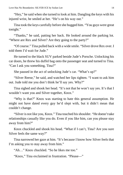"Hey," he said when she turned to look at him. Dangling the keys with his injured wrist, he smiled at her. "He's on his way out."

Tina took the keys carefully before she hugged him. "You guys were great tonight."

"Thanks," he said, patting her back. He looked around the parking lot. "Where are Rex and Silver? Are they going to the party?"

"Of course." Tina pulled back with a wide smile. "Silver drove Rex over. I told them I'd wait for Jude."

He turned to the black SUV parked beside Jude's Porsche. Unlocking his car doors, he threw his duffel bag onto the passenger seat and turned to Tina. "Can I ask you something, Tina?"

She paused in the act of unlocking Jude's car. "What's up?"

"Silver Reese," he said, and watched her lips tighten. "I want to ask him out. Jude told me you don't think he'll say yes. Why?"

Tina sighed and shook her head. "It's not that he won't say yes. It's that I wouldn't want you and Silver together, Knox."

"Why is that?" Knox was starting to hate this general assumption. He might not have dated every guy he'd slept with, but it didn't mean that couldn't change.

"Silver is not like you, Knox." Tina touched his shoulder. "He doesn't take relationships casually like you do. Even if you like him, can you please stay away from him?"

Knox chuckled and shook his head. "What if I can't, Tina? Are you sure Silver feels the same way?"

Tina narrowed her gaze at him. "It's because I know how Silver feels that I'm asking you to stay away from him."

"Ah…" Knox chuckled. "So he likes me too."

"Knox," Tina exclaimed in frustration. "Please—"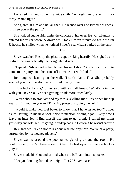He raised his hands up with a wide smile. "All right, jeez, relax. I'll stay away, mama tiger."

She glared at him and he laughed. He leaned over and kissed her cheek. "I'll see you at the party."

She nodded but he didn't miss the concern in her eyes. He waited until she entered Jude's car before he drove off. It took him ten minutes to get to the Psi U house; he smiled when he noticed Silver's red Mazda parked at the curb.

\*\*\*\*

Silver watched Rex tip the plastic cup, drinking heartily. He sighed as he realized he was officially the designated driver.

"Typical," Silver said as he planned his next shot. "She twists my arm to come to the party, and then runs off to make out with Jude."

Rex laughed, leaning on the wall. "I can't blame Tina. She probably wanted you to come along so you could babysit me."

"How lucky for me," Silver said with a small frown. "What's going on with you, Rex? You've been getting drunk more often lately."

"We're about to graduate and my thesis is killing me." Rex tipped his cup again. "I'm not like you and Tina. My project is giving me hell."

"Would it make you feel better to know that I have issues too?" Silver asked, setting up his next shot. "Not to mention finding a job. Every time I leave an interview I find myself wanting to get drunk. I called my mum yesterday and told her I'm going to end up back in Boston. Shewasn't happy."

Rex groaned. "Let's not talk about real life anymore. We're at a party, surrounded by ice hockey players."

Silver walked around the pool table, glancing around the room. He couldn't deny Rex's observation, but he only had eyes for one ice hockey player.

Silver made his shot and smiled when the ball sank into its pocket.

"Are you looking for a date tonight, Rex?" Silver teased.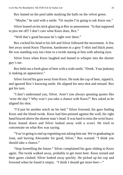Rex leaned on the pool table studying the balls on the velvet green.

"Maybe," he said with a smile. "Or maybe I'm going to ask Knox out."

Silver leaned on his stick glancing at Rex in amusement. "Is that supposed to piss me off? I don't care what Knox does, Rex."

"Well that's good because he's right over there."

Rex cocked his head to his left and Silver followed the movement. A few feet away stood Knox Thurston, handsome in a grey T-shirt and black jeans. He was standing way too close to a twink staring at him with adoring eyes.

Silver froze when Knox laughed and leaned to whisper into the shorter guy's ear.

Rex held out a fresh glass of beer with a wide smile. "Drink. Your jealousy is making an appearance."

Silver forced his gaze away from Knox. He took the cup of beer, sipped it, and ignored Rex's knowing smile. He aligned his next shot and missed. Rex got his turn.

"I don't understand you, Silver. Aren't you always spouting quotes like '*seize the day'*? Why won't you take a chance with Knox?" Rex asked as he aligned his shot.

"I'd just be another notch on his bed." Silver frowned, his gaze finding Knox and the blond twink. Knox had him pressed against the wall, his right hand braced above the shorter man's head. It was hard to miss the wrist brace. Knox leaned down and Silver looked away with a scowl. He tried to concentrate on what Rex was saying.

"You're going to end up regretting not asking him out. We're graduating in June, and leaving Alexander for good, Silver," Rex warned. "I think you should take a chance."

"Stop foretelling the future." Silver complained his gaze sliding to Knox again. The twink walked away, probably to get more beer. Knox turned and their gazes clashed. Silver looked away quickly. He picked up his cup and frowned when he found it empty. "I think I should get more beer—"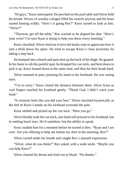"Hi guys," Knox interrupted. He perched on the pool table and Silver held his breath. Waves of woodsy cologne filled his nostrils anyway and his heart started beating wildly. "How's it going Rex?" Knox turned to look at him. "Silver?"

"Thurston, get off the table," Rex warned as he aligned his shot. "How's your wrist? I'm sure Ryan is dying to help you dress every morning."

Knox chuckled. Silver tried not to love the husky tone or appreciate how it sent a thrill down his spine. He tried to escape Knox's close proximity by taking a step back.

He bumped into a bench and pain shot up the back of his thigh. He gasped. In his haste to rub the painful spot, he dropped his cue stick, and bent down to pick it up. Knox leaned down at the same time, and they hit their heads hard.

Silver moaned in pain, pressing his hand to his forehead. He was seeing stars.

"I'm so sorry." Knox closed the distance between them. Silver froze as cool fingers touched his forehead gently. "Thank God, I didn't crack your head."

"It certainly feels like you did your best." Silver chuckled hysterically as the feel of Knox's hands on his forehead overrode the pain.

Knox smiled and picked up the cue stick. "Here you go."

Silver blindly took the cue stick, one hand still pressed to his forehead, lost in smiling hazel eyes. He'd somehow lost the ability to speak.

Knox studied him for a moment before he turned to Rex. "Ryan and I are over. Are you offering to help me button my shirt in the morning, Rex?"

Silver cursed under his breath and caught Rex's amused expression.

"Silver, what do you think?" Rex asked, with a wide smile. "Maybe you can help Knox?"

Silver cleared his throat and tried not to blush. "No thanks."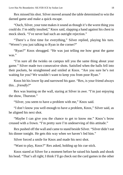Rex missed his shot. Silver moved around the table determined to win the darned game and make a quick escape.

"Ouch, Silver, your tone makes it sound as though it's the worst thing you could do. I'm oddly insulted," Knox said, slapping a hand against his chest in mock shock. "I've never had such an outright rejection."

"There's a first time for everything," Silver replied, playing his turn. "Weren't you just talking to Ryan in the corner?"

"Ryan?" Knox shrugged. "He was just telling me how great the game was."

"I'm sure all the twinks on campus tell you the same thing about your game." Silver made two consecutive shots. Satisfied when the balls fell into their pockets, he straightened and smiled at Knox. "Are you sure he's not waiting for you? We wouldn't want to keep you from poor Ryan."

Knox bit his lower lip and narrowed his gaze. "Rex, is your friend always this…*friendly*?"

Rex was leaning on the wall, staring at Silver in awe. "I'm just enjoying the show, Thurston."

"Silver, you seem to have a problem with me," Knox said.

"I don't know you well enough to have a problem, Knox," Silver said, as he aligned his next shot.

"Maybe I can give you the chance to get to know me." Knox's brow creased with a frown. "I'm pretty sure I'm undeserving of this attitude."

Rex pushed off the wall and came to stand beside Silver. "Silver didn't eat his dinner tonight. He gets this way when we haven't fed him."

Silver forced a smile for Knox and made his next shot.

"Want to play, Knox?" Rex asked, holding up his cue stick.

Knox stared at Silver for a moment before he raised his hands and shook his head. "That's all right; I think I'll go check out the card games in the other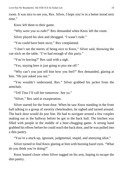room. It was nice to see you, Rex. Silver, I hope you're in a better mood next time"

Knox left them to their game.

"Why were you so rude?" Rex demanded when Knox left the room.

Silver played his shot and shrugged. "I wasn't rude."

"You could have been nicer," Rex complained.

"I don't see the merits of being nice to Knox," Silver said, throwing the cue stick on the table. "I've had enough of this party."

"You're leaving?" Rex said with a sigh.

"Yes, staying here is just going to piss me off."

"Why can't you just tell him how you feel?" Rex demanded, glaring at him. "He just asked you out."

"You wouldn't understand, Rex." Silver grabbed his jacket from the armchair.

"Tell Tina I'll call her tomorrow. See ya."

"Silver," Rex said in exasperation.

Silver started for the front door. When he saw Knox standing in the front hall talking to a group of sorority cheerleaders, he sighed and turned around. The back door would do just fine. He had to navigate around a few couples making out in the hallway before he got to the back hall. The kitchen was filled with people in the middle of a beer-chugging game. A strong hand grabbed his elbow before he could reach the back door, and he was pulled into a dim pantry.

"You're a stuck-up, ignorant, judgmental, stupid, and annoying idiot."

Silver turned to find Knox glaring at him with burning hazel eyes. "What do you think you're doing?"

Knox leaned closer when Silver tugged on his arm, hoping to escape the dim pantry.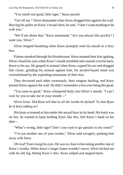"You smell real good, little tiger," Knox purred.

"Get off me," Silver demanded when Knox dragged him against the wall. Bracing his palms on Knox's broad chest, he said, "I don't want anything to do with you."

"We'll see about that," Knox murmured. "Are you always this prickly? I want you, Silver."

Silver stopped breathing when Knox promptly took his mouth in a fiery kiss.

Flames streaked through his bloodstream. Knox moaned their kissigniting. Silver closed his eyes when Knox's hands trembled and roamed over his back, down to his ass. He gasped in arousal when Knox cupped his ass and dragged him closer, grinding his arousal against him, his alcohol-hazed mind was overwhelmed by the exploding sensations of their kiss.

They devoured each other ravenously, their tongues dueling, and Knox pinned Silver against the wall. He didn't remember a kiss ever being this good.

"You taste so good," Knox whispered hotly into Silver's mouth. "I can't wait for you to take me in your mouth—"

Silver froze. *Did Knox tell that to all the twinks he fucked*? *To that Ryan he'd been talking to*?

His brain screamed at him under the sexual haze in his head. His body was on fire, he wanted to keep holding Knox like this, feel Knox's hand on his skin—

"What's wrong, little tiger? Don't you want to go upstairs to my room?"

"I'm not another one of your twinks," Silver said savagely, pushing him away with force.

*Oh God!* Tears stung his eyes. He was so close to becoming another one of Knox's twinks. When Knox's larger frame wouldn't move, Silver kicked out with his left leg, hitting Knox's shin. Knox yelped and stepped back.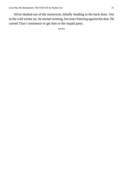Silver dashed out of the storeroom, blindly heading to the back door. Out in the cold winter air, he started running, hot tears freezing against his skin. He cursed Tina's insistence to get him to the stupid party.

\*\*\*\*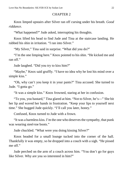#### CHAPTER 2

<span id="page-21-0"></span>Knox limped upstairs after Silver ran off cursing under his breath. *Good riddance*.

"What happened?" Jude asked, interrupting his thoughts.

Knox lifted his head to find Jude and Tina at the staircase landing. He rubbed his shin in irritation. "I ran into Silver."

"My Silver," Tina said in surprise. "What did you do?"

"I'm the one limping here." Knox pointed to his shin. "He kicked me and ran off."

Jude laughed. "Did you try to kiss him?"

"Maybe," Knox said gruffly. "I have no idea why he lost his mind over a simple kiss."

"Oh, why can't you keep it in your pants?" Tina accused. She turned to Jude. "I gotta go."

"It was a simple kiss." Knox frowned, staring at her in confusion.

"To you, you bastard," Tina glared at him. "Not to Silver, he's—" She bit her lip and waved her hands in frustration. "Keep your lips to yourself next time." She hugged Jude quickly. "I'll call you later, honey."

Confused, Knox turned to Jude with a frown.

"It was a harmless kiss. I'm the one who deserves the sympathy, that punk was wearing steel-toe boots."

Jude chuckled. "What were you doing kissing Silver?"

Knox headed for a small lounge tucked into the corner of the hall. Thankfully it was empty, so he dropped into a couch with a sigh. "He pissed me off."

Jude perched on the arm of a couch across him. "You don't go for guys like Silver. Why are you so interested in him?"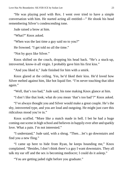"He was playing pool with Rex. I went over tried to have a simple conversation with him. He started acting all entitled—" He shook his head remembering Silver's condescending tone.

Jude raised a brow at him.

"What?" Knox asked.

"When was the last time a guy said no to you?"

He frowned. "I get told no all the time."

"Not by guys like Silver."

Knox shifted on the couch, dropping his head back. "He's a stuck-up, introverted, know-it-all virgin. I probably gave him his first kiss."

"And you liked it," Jude finished for him with a smirk.

Knox glared at the ceiling. Yes, he'd liked their kiss. He'd loved how Silver melted against him, like hot liquid fire. "I'm never touching that idiot again."

"Well, that's too bad," Jude said, his tone making Knox glance at him.

"I don't like that look; what do you mean 'that's too bad'?" Knox asked.

"I've always thought you and Silver would make a great couple. He's the shy, introverted type, and you are loud and outgoing. He might just cure this ridiculous mood you're in."

Knox scoffed. "More like a match made in hell. I bet he had a huge coming-out scene in high school and believes in happily ever after and sparkly love. What a pain. I'm not interested."

"I understand," Jude said, with a shrug. "Then…let's go downstairs and find you a new fling."

"I came up here to hide from Ryan, he keeps hounding me," Knox complained. "Besides, I don't think there's a guy I want downstairs. They all talk my ear off and the sex is becoming mediocre; I could do it asleep."

"You are getting jaded right before you graduate."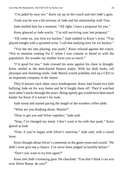"I'm jaded by easy sex." Knox sat up on the couch and met Jude's gaze.

Truth was he was a bit envious of Jude and his relationship with Tina.

Jude studied him for a moment. "All right, I have a proposal for you."

Knox glanced at Jude warily. "I'm still surviving your last proposal."

"Oh come on, you love ice hockey." Jude nodded to Knox's wrist. "You played tonight with a sprained wrist. I call that undying love for ice hockey."

"You bet me into playing, you punk." Knox relaxed against the couch. "Not to mention rushing Psi U when I was content to blend in with the population. No wonder my mother loves you so much."

"I'm good for you." Jude crossed his arms against his chest in thought. Knox smiled at the dark-haired finance major. With his dark looks, tall physique and charming smile, Jude Martin would probably end up a CEO to an important company in the future.

They'd known each other since kindergarten. Knox had found two kids bullying Jude on his way home and he'd fought them off. They'd watched each other's backs through the years. Being openly gaywould have been much harder for Knox if it weren't for Jude.

Jude stood and started pacing the length of the wooden coffee table.

"What are you thinking about, Martin?"

"How to get you and Silver together," Jude said.

"Stop, I've changed my mind. I don't want to be with that punk." Knox glared at Jude.

"Fine, if you're happy with Silver's rejection," Jude said, with a raised brow.

Knox thought about Silver's comments in the game room and cursed. "He didn't even give me a chance. I've never been judged so harshly before."

"Don't you want to try him again?"

Knox met Jude's knowing gaze. He chuckled. "You don't think I can win over Silver Reese, do you?"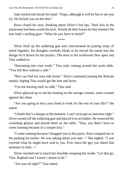Jude smiled and shook his head. "Nope, although it will be fun to see you try. He kicked you on the shin."

Knox closed his eyes, thinking about Silver's hot lips. Their kiss in the storeroom had been worth the kick. Would all their kisses be that intense? He met Jude's smiling gaze. "What do you have in mind?"

\*\*\*\*

Silver fired up the soldering gun and concentrated on joining strips of metal together, his thoughts carefully blank as he forced the metal into the design he'd drawn for his project. The door to the workroom flew open and Tina walked in.

"Retreating into your work," Tina said, coming around the work table. "You left Rex without a ride."

"Rex can find his own ride home." Silver continued joining the delicate metals, hoping Tina would get the hint and leave.

"I'm not leaving until we talk," Tina said.

Silver glanced up to see her leaning on the storage counter, arms crossed against her chest.

"Are you going to bury your head in work for the rest of your life?" she asked.

"I doubt that's a danger at the moment. I can't even get an interview right." Silver turned off the soldering gun and placed it on its holder. He removed his workshop glasses and placed them on the table. "Tina, you didn't have to come running because of a simple kiss."

"I came running because I dragged you to that party. Knox stopped me in the parking lot earlier. He was asking about you and—" She sighed. "I was worried what he might have said to you. Ever since the guy you dated that semester in Italy—"

Silver reached out to touch her shoulder stopping her tirade. "Let that go, Tina. Raphael and I weren't meant to be."

"Are you all right?" Tina asked.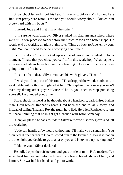Silver chuckled and shook his head. "It was a stupid kiss. My lips and I are fine. I'm pretty sure Knox is the one you should worry about. I kicked him pretty hard with my boots."

"I heard. Jude and I met him on the stairs."

"I'm sure he wasn't happy." Silver studied his diagram and sighed. There were still a few pieces to solder before the structure took on a better shape. He would end up working all night at this rate. "Tina, go back to Jude, enjoy your night. You don't need to be here worrying about me."

"You're alone." Tina picked up a cube of wood and studied it for a moment. "I hate that you close yourself off in this workshop. What happens after we graduate in June? Rex and I are heading to Boston. I'm afraid you're going to run off to Italy—"

"It's not a bad idea." Silver removed his work gloves. "Tina—"

"I wish you'd snap out of this funk." Tina dropped the wooden cube on the work table with a thud and glared at him. "Is Raphael the reason you won't even try dating other guys? 'Cause if he is, you need to stop punishing yourself. He dumped you, Silver."

Silver shook his head as he thought about a handsome, dark-haired Italian man. He'd broken Raphael's heart. He'd been the one to walk away, and instead of telling Tina and Rex the truth, he'd lied. He'd left Raphael to return to Ithaca, thinking that he might get a chance with Knox someday.

"Can you please go back to Jude?" Silver removed his work gloves and left the workshop.

"Jude can handle a few hours without me. I'll make you a sandwich. You didn't eat dinner earlier." Tina followed him to the kitchen. "How is it that on the one night you decide to go to a party, you and Knox end up making out?"

"I blame you," Silver declared.

He pulled open the refrigerator and got a bottle of milk. He'd made coffee when he'd first walked into the house. Tina found bread, slices of ham, and lettuce. She washed her hands and got to work.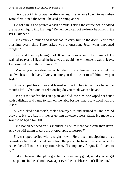"I try to avoid victory-game after-parties. The last one I went to was when Knox first joined the team," he said grinning at her.

He got a mug and poured a dash of milk. Taking the coffee pot, he added the fragrant liquid into his mug. "Remember, Rex got so drunk he puked in the Psi U kitchen?"

Tina chuckled. "Jude and Knox had to carry him to the dorm. You were blushing every time Knox asked you a question. Jeez, what happened tonight?"

"Rex and I were playing pool. Knox came over and I told him off. He walked away and I figured the best way to avoid the whole scene wasto leave. He cornered me in the storeroom."

"Maybe you two deserve each other." Tina frowned as she cut the sandwiches into halves. "Are you sure you don't want to tell him how you feel?"

Silver sipped his coffee and leaned on the kitchen table. "We have two months left. What kind of relationship do you think we can have?"

Tina put the sandwiches on a plate and slid it to him. She wiped her hands with a dishrag and came to lean on the table beside him. "How good was the kiss?"

Silver picked a sandwich, took a healthy bite, and grinned at Tina. "Mind blowing. It's too bad I'm never getting anywhere near Knox. He made me want to be Ryan tonight."

Tina leaned her head on his shoulder. "You're more handsome than Ryan. Are you still going to take the photographs tomorrow?"

Silver sipped coffee with a slight frown. He'd been anticipating a free Saturday when he'd rushed home from the party. Hisfrown deepened when he remembered Tina's sorority fundraiser. "I completely forgot. Do I have to go?"

"I don't have another photographer. You're really good, and if you can get those photos in the school newspaper even better. Please don't flake out."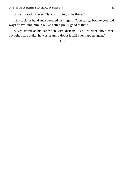Silver closed his eyes. "Is Knox going to be there?"

Tina took his hand and squeezed his fingers. "You can go back to your old ways of avoiding him. You've gotten pretty good at that."

Silver stared at his sandwich with distaste. "You're right about that. Tonight was a fluke; he was drunk. I doubt it will ever happen again."

\*\*\*\*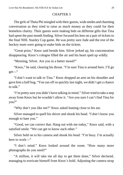#### CHAPTER 3

<span id="page-28-0"></span>The girls of Theta Phi mingled with their guests, wide smiles and charming conversation as they tried to raise as much money as they could for their homeless charity. Their guests were making bids on different gifts that Tina had spent the past month finding. Silver focused his lens on a pair of tickets to the final NHL Stanley Cup game. He was pretty sure Jude and the rest of the hockey team were going to make bids on the tickets.

"Great prize," Knox said beside him. Silver jerked up, his concentration disappearing. Knox's cologne filled the air and his heart sped up wildly.

"Morning, Silver. Are you in a better mood?"

"Knox," he said, clearing his throat. "I'm sure Tina is around here. I'll go get—"

"I don't want to talk to Tina." Knox dropped an arm on his shoulder and gave him a half hug. "You ran off so quickly last night, we didn't get a chance to talk"

"I'm pretty sure you didn't have talking in mind." Silver tried to take a step away from Knox but he wouldn't allow it. "Are you sure I can't find Tina for you?"

"Why don't you like me?" Knox asked leaning close to his ear.

Silver managed to quell his shiver and shook his head. "I don't know you enough to hate you."

"Good, we can correct that. Hang out with me today," Knox said, with a satisfied smile. "We can get to know each other."

Silver held on to his camera and shook his head. "I'm busy. I'm actually here to work—"

"I don't mind." Knox looked around the room. "How many more photographs do you need?"

"A million, it will take me all day to get them done," Silver declared, managing to extricate himself from Knox's hold. Adjusting the camera strap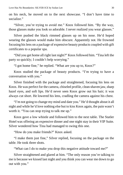on his neck, he moved on to the next showcase. "I don't have time to socialize."

"Silver, you're trying to avoid me." Knox followed him. "By the way, those glasses make you look so adorable. I never realized you wear glasses."

Silver pushed the black rimmed glasses up on his nose. He'd hoped wearing the glasses would make him obscure. Apparently not. He frowned focusing his lens on a package of expensive beauty products coupled with gift certificates to a popular spa.

"Did you get home all right last night?" Knox followed him. "Tina left the party so quickly; I couldn't help worrying."

"I got home fine," he replied. "What are you up to, Knox?"

Knox studied the package of beauty products. "I'm trying to have a conversation with you."

Silver finished with the package and straightened, focusing his lens on Knox. He was perfect for the camera, chiseled profile, clean-shaven jaw, sharp hazel eyes, and soft lips. He'd never seen Knox grow out his hair; it was always cut short. He lowered his lens, cradling the camera against his chest.

"I'm not going to change my mind and date you." He'd thought about it all night and while he'd love nothing else but to kiss Knox again, the pain wasn't worth it. "You can stop trying to talk me up."

Knox gave a low whistle and followed him to the next table. The Statler Hotel was offering an expensive dinner and one night stay in their VIP Suite. Silver wondered how Tina had managed to swing this one.

"How do you make friends?" Knox asked.

"I make them just fine," Silver replied, focusing on the package on the table. He took three shots.

"What can I do to make you drop this negative attitude toward me?"

Silver straightened and glared at him. "The only reason you're talking to me is because we kissed last night and you think you can wear me down to go out with you."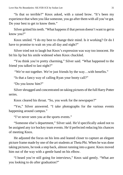"Is that so terrible?" Knox asked, with a raised brow. "It's been my experience that when you like someone, you go after them with all you've got. Do your best to get to know them."

Silver gritted his teeth. "What happens if that person doesn't want to get to know you?"

Knox smiled. "I do my best to change their mind. Is it working? Or do I have to promise to wait on you all day and night?"

Silver tried not to laugh but Knox's expression was way too innocent. He bit his lip but his smile widened when Knox chuckled.

"You think you're pretty charming," Silver said. "What happened to the friend you talked to last night?"

"We're not together. We're just friends by the way…with benefits."

"Is that a fancy way of calling Ryan your booty call?"

"Do you know him?"

Silver shrugged and concentrated on taking pictures of the full Harry Potter series.

Knox cleared his throat. "So, you work for the newspaper?"

"Yes," Silver answered. "I take photographs for the various events happening around campus."

"I've never seen you at the sports events."

"Someone else's department," Silver said. He'd specifically asked not to be assigned any ice hockey team events. He'd perfected reducing his chances of meeting Knox.

He adjusted the focus on his lens and leaned closer to capture an elegant picture frame made by one of the art students at Theta Phi. When he was done taking pictures, he took a step back, almost running into a guest. Knox moved him out of the way with a gentle hand on his elbow.

"I heard you're still going for interviews," Knox said gently. "What are you looking to do after graduation?"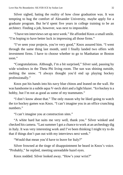Silver sighed, hating the reality of how close graduation was. It was tempting to hug the comfort of Alexander University, maybe apply for a graduate program. But he'd spent five years in college training to be an architect. Finding a job, however, was next to impossible.

"I have ten interviews set up next week." He afforded Knox a small smile. "I'm hoping to have better luck in impressing all those firms."

"I've seen your projects, you're very good," Knox assured him. "I went through the same thing last month, until I finally landed two offers with investment firms. I have to choose whether to go to Manhattan or Boston soon."

"Congratulations. Although, I'm a bit surprised," Silver said, pausing by wide windows in the Theta Phi living room. The sun was shining outside, melting the snow. "I always thought you'd end up playing hockey professionally."

Knox put his hands into his navy blue chinos and leaned on the wall. He was handsome in a subtle aqua V-neck shirt and a light blazer. "Ice hockey is a hobby, but I'm not as good as some of my teammates."

"I don't know about that." The only reason why he liked going to watch the ice hockey games was Knox. "I can't imagine you in an office crunching numbers"

"I can't imagine you at construction sites."

"A white hard hat suits me very well, thank you." Silver winked and checked his camera. "Last summer I got a chance to work at an archeology dig in Italy. It was very interesting work and I've been thinking I might try to do that if things don't pan out with my interviews next week."

"Would that mean you'd have to leave for Italy?"

Silver frowned at the tinge of disappointment he heard in Knox's voice. "Probably," he replied, meeting unreadable hazel eyes.

Knox nodded. Silver looked away. "How's your wrist?"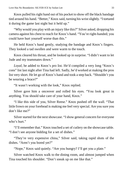Knox pulled his right hand out of his pocket to show off the black bandage tied around his hand. "Better," Knox said, turning his wrist slightly. "I tortured it during the game last night but it held up."

"Why would you play with an injury like this?" Silver asked, dropping his camera against his chest to reach for Knox's hand. "You're right-handed; you could have hurt yourself worse than this."

He held Knox's hand gently, studying the bandage and Knox's fingers. They looked a tad swollen and were warm to the touch.

Knox cleared his throat, and he looked up in surprise. "I didn't want to let Jude and my teammates down."

*Loyal,* he added to Knox's pro list. He'd compiled a very long "Knox's cons" list last night after Tina had left. Sadly, he'd worked at making the pros list very short. He let go of Knox's hand and took a step back. "Shouldn't you be wearing a brace?"

"It wasn't working with the look," Knox replied.

Silver gave him a onceover and rolled his eyes. "You look great in anything. You should take care of your hand, Knox."

"I like this side of you, Silver Reese." Knox pushed off the wall. "That little frown on your forehead is making me feel very special. Are you sure you don't like me?"

Silver started for the next showcase. "I show general concern for everyone who's hurt."

"I'll remember that." Knox touched a set of cutlery on the showcase table. "I don't see anyone bidding for a set of dishes."

"They're very expensive china," Silver said, taking rapid shots of the dishes. "Aren't you bored yet?"

"Nope," Knox said quietly. "Are you hungry? I'll get you a plate."

Silver watched Knox walk to the dining room, and almost jumped when Tina touched his shoulder. "Don't sneak up on me like that."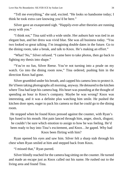"Tell me everything," she said, excited. "He looks so handsome today; I think he took extra care knowing you'd be here."

Silver gave an exasperated sigh. "Happily-ever-after theories are running away with you."

"I think not," Tina said with a wide smile. Her auburn hair was tied in an elegant bun, and her dress was vivid blue. She was all business today. "You two looked so great talking. I'm imagining double dates in the future. Go to the dining room, take a break, and talk to Knox. He's making an effort."

"What? No," Silver refused. "I came here to take photos, then go back to fighting my thesis into shape."

"You're no fun, Silver Reese. You're not turning into a prude on my watch. Go into the dining room now," Tina ordered, pushing him in the direction Knox had gone.

Silver grumbled under his breath, and capped his camera lens to protect it. He'd been taking photographs all morning, anyway. He detoured to the kitchen where Tina had kept his camera bag. His heart was pounding at the thought of spending an hour in Knox's company. Maybe he was wrong? Knox was interesting, and it was a definite plus watching him smile. He pushed the kitchen door open, eager to pack his camera so that he could go to the dining room.

He stopped when he found Knox pressed against the counter, with Ryan's lips fused to his mouth. Hot pain lanced through him, anger, shock, disgust; he couldn't be sure which emotion to assign to how he was feeling. He'd been ready to buy into Tina's excitement, and Knox…he gaped. Why had Knox been flirting with him?

Ryan opened his eyes and saw him. Silver felt a sharp stab through his chest when Ryan smiled at him and stepped back from Knox.

"I missed that," Ryan purred.

Silver blindly reached for the camera bag sitting on the counter. He turned and made an escape just as Knox called out his name. He rushed out to the living area and found Tina.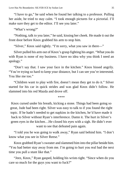"I have to go," he said when he found her talking to a professor. Pulling her aside, he tried to stay calm. "I took enough pictures for a pictorial. I'll make sure they get to the editor. I'll see you later."

"What's wrong?"

"Nothing, talk to you later," he said, kissing her cheek. He made it out the front door before Knox grabbed his arm to stop him.

"Silver," Knox said tightly. "I'm sorry, what you saw in there—"

Silver pulled his arm out of Knox's grasp fighting his anger. "What you do with Ryan is none of my business. I have no idea why you think I need an apology."

"Don't say that. I saw your face in the kitchen." Knox hissed angrily. "You're trying so hard to keep your distance, but I can see you're interested. You like me too."

"Children want to play with fire, doesn't mean they get to do it." Silver started for his car in quick strides and was glad Knox didn't follow. He slammed into his red Mazda and drove off.

\*\*\*\*

Knox cursed under his breath, kicking a stone. Things had been going so great, Jude had been right. Silver was easy to talk to if you found the right topic. If he hadn't needed to get napkins in the kitchen, he'd have made it back to Silver without Ryan's interference. Damn it. The hurt in Silver's green eyes in the kitchen…He closed his eyes with a sigh. He didn't ever want to see that defeated pain again.

"I told you he was going to walk away," Ryan said behind him. "I don't know what you see in Silver Reese."

Knox grabbed Ryan's sweater and slammed him into the pillar beside him. "You had better stay away from me. I'm going to hurt you real bad the next time you pull a stunt like that."

"Jeez, Knox," Ryan gasped, holding his wrists tight. "Since when do you care so much for the guys you want to fuck?"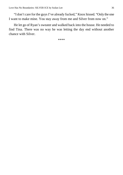"I don't care for the guys I've already fucked," Knox hissed. "Only the one I want to make mine. You stay away from me and Silver from now on."

He let go of Ryan's sweater and walked back into the house. He needed to find Tina. There was no way he was letting the day end without another chance with Silver.

\*\*\*\*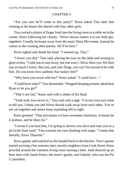#### CHAPTER 4

<span id="page-36-0"></span>"Are you sure he'll come to this party?" Knox asked Tina later that evening at the house she shared with four other girls.

Tina carried a platter of finger food into the living room to a table set in the corner, Knox following her closely. "Silver always makes it to our little gettogethers. Usually he keeps away from the main Theta Phi events. Instead he comes to the evening after-parties. He'll be here."

Knox sighed and shook his head. "I messed up, Tina."

"I know you did," Tina said, placing the tray on the table and turning to glare at him. "I told you to stay away, but you won't. Silver likes you. He likes you so much I worry. But you, and your flings, you can't be trusted to be with him. Do you know how pathetic that makes him?"

"Why have you never told me?" Knox asked. "I could have—"

"Could have what?" Tina demanded. "Stopped sleeping around, asked dear Ryan to let you go?"

"That's not fair," Knox said with a shake of his head.

"Yeah well, love never is," Tina said with a sigh. "I'm not even sure what to tell you. I think you and Silver should walk away from each other. You're not yet together and mines keep exploding left to right.

Knox grinned. "That just means we have awesome chemistry. It means he is jealous, and he likes me."

"I swear if you hurt him, I'm going to skewer you alive and roast you in a pit in the front yard," Tina warned, her eyes flashing with anger. "I mean that literally, Knox Thurston."

Knox gaped, and watched as she headed back to the kitchen. Tina's guests started arriving a few minutes later, mostly neighbors from Cook Street. Knox prowled around the common living room nursing a beer. Jude showed up an hour later with Jamie Foster, the team's goalie, and Gabriel, who was the Psi U president.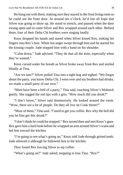He hung out with them, making sure they stayed in the front living room so he could see the front door. At around ten o'clock, he'd lost all hope that Silver was going to show up. He stood to stretch, and paused when the door swung open and in came Silver and Rex wrapped around each other. Behind them, four of their Delta Chi brothers were singing loudly.

Knox dropped his hands and stared when Silver kissed Rex, sinking his fingers into Rex's hair. White hot anger swept through him and he started for the kissing couple. Jude stopped him with a hand on his shoulder.

"Calm down," Jude advised. "They do that all the time, especially when they're wasted."

Knox cursed under his breath as Silver broke away from Rex and smiled blindly at Tina.

"Are we late?" Silver pulled Tina into a tight hug and sighed. "We forgot about the party, you know Delta Chi. I went over and my brothers had drinks, we made a small party of our own."

"Must have been a hell of a party," Tina said, touching Silver's Mohawk gently. She tugged the red tips with a grin. "How much did you drink?"

"I don't know," Silver said dismissively. He looked around the room. "Wow, there are a lot of people. Do they all live on Cook Street?"

"Most of them," Tina said. "I need to get you coffee. Rex why the hell did you let him get this drunk?"

"I don't think he could be stopped." Rex turned then and met Knox's gaze. Rex gave him a hard look before he wrapped an arm around Silver's waist and led him toward the kitchen.

"I'm going to see what's going on," Knox told Jude through gritted teeth. Jude allowed it although he followed him to the kitchen.

They found Rex forcing Silver to sip coffee.

"What's going on?" Jude asked, stopping to kiss Tina. "Rex?"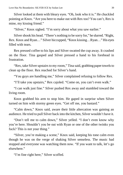Silver looked at them with bleary eyes. "Oh, look who it is." He chuckled pointing at Knox. "Are you here to make out with Rex too? You can't, Rex is mine, my kissing friend."

"Silver," Knox sighed. "I'm sorry about what you saw earlier."

Silver shook his head. "There's nothing to be sorry for," he slurred. "Right, Rex. Knox and Ryan…" Silver hiccupped, "Knox kissing…Ryan…" His eyes filled with tears.

Rex pressed coffee to his lips and Silver swatted the cup away. It crashed on the floor. Tina gasped and Silver pressed a hand to his forehead in frustration.

"Rex, take Silver upstairs to my room," Tina said, grabbing paper towels to clean up the floor. Rex reached for Silver's hand.

"You guys are handling me," Silver complained refusing to follow Rex.

"I'll take you upstairs," Rex cajoled. "Come on, you can't even walk."

"I can walk just fine." Silver pushed Rex away and stumbled toward the living room.

Knox grabbed his arm to stop him. He gaped in surprise when Silver turned on him with stormy green eyes. "Get off me, you bastard."

"Calm down," Knox said, aware their little altercation was gaining an audience. He tried to pull Silver back into the kitchen, Silver wouldn't have it.

"Don't tell me to calm down," Silver yelled. "I don't even know why you're here. Shouldn't you be out with Ryan or one of the other twinks you fuck? This is not your thing."

"Silver, you're making a scene," Knox said, keeping his tone calm even though he was on the verge of shaking Silver senseless. The music had stopped and everyone was watching them now. "If you want to talk, let's go elsewhere."

"I'm fine right here," Silver scoffed.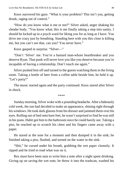Knox narrowed his gaze. "What is your problem? This isn't you, getting drunk, raging out of control."

"How do you know what is me or not?" Silver asked, anger shaking his slender body. "You know what; this is me finally taking a step into sanity. I should be locked up in a psych ward for liking you for as long as I have. You drive me crazy just by breathing. Standing here with you this close is killing me, but you can't see that, can you? You never have."

Knox gasped in surprise. "Silver—"

"Don't 'Silver' me. You're a bastard man-whore heartbreaker and you deserve Ryan. That punk will never love you like you deserve because you're incapable of having a relationship. Don't touch me again."

Silver pushed him off and turned to the guests watching them in the living room. Taking a bottle of beer from a coffee table beside him, he held it up. "Let's party!"

The music started again and the party continued. Knox stared after Silver in shock.

\*\*\*\*

Sunday morning, Silver woke with a pounding headache. After a hideously cold week, the sun had decided to make an appearance, shining right through his windows. He took dark glasses from his dresser and jammed them over his eyes. Rolling out of bed onto bare feet, he wasn't surprised to find he was still in his jeans. Habit got him to the bathroom since he could barely see. Taking a piss, he reached up to scratch his chest and his fingers came away with a paper.

He stared at the note for a moment and then dumped it in the sink; he finished taking a piss, flushed, and turned on the water in the sink.

"Shit," he cursed under his breath, grabbing the wet paper clumsily. It ripped and he tried to read what was on it.

Rex must have been nuts to write him a note after a night spent drinking. Giving up on saving the wet note, he threw it into the trashcan, washed his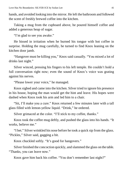hands, and avoided looking into the mirror. He left the bathroom and followed the scent of freshly brewed coffee into the kitchen.

Taking a mug from the cupboard above, he poured himself coffee and added a generous heap of sugar.

"I'm glad to see you awake."

He hissed in irritation when he burned his tongue with hot coffee in surprise. Holding the mug carefully, he turned to find Knox leaning on the kitchen door jamb.

"Hangover must be killing you," Knox said casually. "You mixed a lot of drinks last night."

Silver winced, pressing his fingers to his left temple. He couldn't hold a full conversation right now; even the sound of Knox's voice was grating against his nerves.

"Please lower your voice," he managed.

Knox sighed and came into the kitchen. Silver tried to ignore his presence in his house, hoping the man would get the hint and leave. His hopes were dashed when Knox took his arm and led him to a chair.

"Sit, I'll make you a cure." Knox returned a few minutes later with a tall glass filled with lemon-yellow liquid. "Drink," he ordered.

Silver grimaced at the color. "I'll stick to my coffee, thanks."

Knox took the coffee mug deftly, and pushed the glass into his hands. "It works, believe me."

"I bet." Silver wrinkled his nose before he took a quick sip from the glass. "Pickles," Silver said, gagging a bit.

Knox chuckled softly. "It's good for hangovers."

Silver finished the concoction quickly, and slammed the glass on the table. "Thanks, you can leave now."

Knox gave him back his coffee. "You don't remember last night?"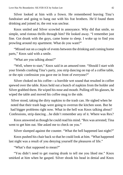Silver looked at him with a frown. He remembered leaving Tina's fundraiser and going to hang out with his frat brothers. He'd found them drinking and joined in; the rest was unclear.

Knox smiled and Silver scowled in annoyance. Why did that smile, so simple, send riotous thrills through him? He looked away. "I remember just fine. Got drunk with the guys, came home to sleep. I woke up to find you prowling around my apartment. What do you want?"

"Missed out on a couple of events between the drinking and coming home parts," Knox said with a smile.

"What are you talking about?"

"Well, where to start," Knox said in an amused tone. "Should I start with your friends crashing Tina's party, you strip dancing on top of a coffee table, or the epic confession you gave me in front of everyone?"

Silver choked on his coffee—a horrible wet sound that resulted in coffee spewed over the table. Knox held out a bunch of napkins from the holder and Silver grabbed them. He wiped his nose and mouth. Pulling off his glasses, he wiped the table and moved his coffee mug to the side.

Silver stood, taking the dirty napkins to the trash can. He sighed when he noted that their trash bags were going to overrun the kitchen soon. But he had bigger problems right now. What in the hell was Knox talking about? Confessions, strip dancing…he didn't remember any of it. Where was Rex?

Knox answered as though he could read his mind. "Rex was arrested; Tina went to get him out. She asked me to check on you."

Silver slumped against the counter. "What the hell happened last night?"

Knox pushed his chair back so that he could look at him. "What happened last night was a result of you denying yourself the pleasures of life."

"What's that supposed to mean?"

"You didn't need to get roaring drunk to tell me you liked me." Knox smirked at him when he gasped. Silver shook his head in denial and Knox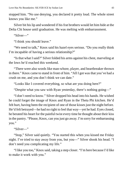stopped him. "No use denying, you declared it pretty loud. The whole street knows you like me."

Silver bit his lip and wondered if his frat brothers would let him hide at the Delta Chi house until graduation. He was melting with embarrassment.

"Silver—"

"I think you should leave."

"We need to talk," Knox said his hazel eyes serious. "Do you really think I'm incapable of having a serious relationship?"

"Isthat what Isaid?" Silver folded his arms against his chest, marveling at the lows he'd reached this weekend.

"There were also words like man-whore, player, and heartbreaker thrown in there." Knox came to stand in front of him. "All I got was that you've had a crush on me, and you don't think we can date."

"Looks like I covered everything, so what are you doing here?"

"Despite what you saw with Ryan yesterday, there's nothing going—"

"I don't need to know." Silver dropped his head into his hands. He wished he could forget the image of Knox and Ryan in the Theta Phi kitchen. He'd felt hurt, having been the recipient of one of those kisses just the night before. He'd felt betrayed—he had no right to feel that way—yet he had. Eyes closed, he berated his heart for the painful twist every time he thought about their kiss in the pantry. "Please, Knox, can you just go away. I'm sorry for embarrassing you."

"Silver—"

"Stop," Silver said quietly. "You started this when you kissed me Friday night. I've tried to stay away from you, but you—" Silver shook his head. "I don't need you complicating my life."

"I like you too," Knox said, taking a step closer. "I'm here because I'd like to make it work with you."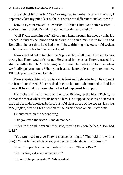Silver chuckled bitterly. "You're caught up in the drama, Knox. I'msorry I apparently lost my mind last night, but we're too different to make it work."

Knox's eyes narrowed in irritation. "I think I like you better wasted you're more truthful. I'm taking you out for dinner tonight."

"Call Ryan, take him out." Silver ran a hand through his choppy hair. He needed to find his cellphone and find out if he could make it up to Tina and Rex. Shit, the last time he'd had one of these drinking blackouts he'd woken up half naked in his frat house backyard.

Knox reached out to touch Silver's jaw with his left hand. He tried to turn away, but Knox wouldn't let go. He closed his eyes as Knox's traced his stubble with a thumb. "I'm hoping you'll remember what you told me when we finally got you home. When your head is clearer, please try to remember. I'll pick you up at seven tonight."

Knox surprised him with a kiss on his forehead before he left. The moment the front door closed, Silver rushed back to his room determined to find his phone. If he could just remember what had happened last night.

His socks and T-shirt were on the floor. Picking up the black T-shirt, he grimaced when a whiff of stale beer hit him. He dropped the shirt and stared at the bed. He hadn't noticed before, but he'd slept on top of the covers. His ring tone jingled, drawing his attention to the black phone on his study desk.

He answered on the second ring.

"Did you read the note?" Tina demanded.

"It fell in the bathroom sink," he said, moving to sit on the bed. "How bad is it?"

"You promised to give Knox a chance last night," Tina told him with a laugh. "I wrote the note to warn you that he might show this morning."

Silver dropped his head and rubbed his eyes. "How's Rex?"

"Rex is fine, suffering a hangover."

"How did he get arrested?" Silver asked.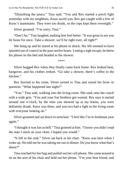"Disturbing the peace," Tina said. "You and Rex started a porch fight yesterday with my neighbors. Knox saved you; Rex got caught with a few of Knox's teammates. They were too drunk, so the cops kept them overnight."

Silver groaned. "I'm sorry, Tina."

"Don't be," Tina laughed, making him feel better. "It was great to see you let loose for once. Take a shower; we'll be right over, all right?"

She hung up and he stared at his phone in shock. His life seemed to have spiraled out of control in the past twelve hours. Letting a sigh escape, he threw his phone on the bed and headed to the shower.

\*\*\*\*

Silver hugged Rex when they finally came back home. Rex looked beat, hangover, and his clothes reeked. "Go take a shower, there's coffee in the kitchen."

Rex hurried to his room. Silver turned to Tina and raised his brow in question. "What happened last night?"

"You," Tina said, walking into the living room. She sank onto the couch with a wide grin. "You and your frat brothers got wasted. Rex says it started around one o'clock, by the time you showed up at my house, you were definitely drunk. Knox was there, and you two had a fight in the living room with everyone looking on."

Silver groaned and sat down in armchair. "I feel like I'm in freshman year again."

"I thought it was fun as hell." Tina grinned at him. "I know you didn't read the note I stuck on your chest. I hoped you would."

"It fell in the sink." Silver sat back in his chair. "Knox was here when I woke up. He told me he was taking me out to dinner. Do you know what that's about?"

Tina reached for her bag and pulled out her cell phone. She came around to sit on the arm of his chair and held out her phone. "I'm your best friend, and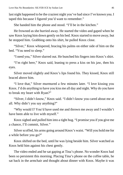last night happened to be the craziest night you've had since I've known you. I taped this because I figured you'd want to remember."

She handed him the phone and stood. "I'll be in the kitchen."

He frowned as she hurried away. He started the video and gaped when he saw Knox laying him down gently on his bed. Knox started to move away, but he stopped him. Grabbing onto his shirt, he pulled Knox close.

"Silver," Knox whispered, bracing his palms on either side of him on the bed. "You need to sleep."

"I need you," Silver slurred out. He bunched his fingers into Knox's shirt.

"I'm right here," Knox said, leaning to press a kiss on his jaw, then his eyes.

Silver moved slightly and Knox's lips found his. They kissed, Knox still braced above him.

"I love that," Silver murmured a few minutes later. "I love kissing you Knox. I'd do anything to have you kiss me all day and night. Why do you have to break my heart with Ryan?"

"Silver, I didn't know," Knox said. "I didn't know you cared about me at all. Why didn't you say anything?"

"Why would I? You'd have used me and thrown me away and I wouldn't have been able to live with myself."

Knox sighed and pulled him into a tight hug. "I promise you if you giveme a chance, I'll commit, Silver."

Silver scoffed, his arms going around Knox's waist. "Will you hold me for a while before you go?"

Knox shifted on the bed, until he was lying beside him. Silver watched as Knox held him against his chest gently.

The video ended and he sat gaping at Tina's phone. No wonder Knox had been so persistent this morning. Placing Tina's phone on the coffee table, he sat back in the armchair and thought about dinner with Knox. Maybe it was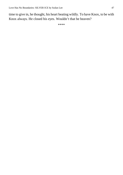time to give in, he thought, his heart beating wildly. To have Knox, to be with Knox always. He closed his eyes. Wouldn't that be heaven?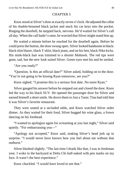#### CHAPTER 5

<span id="page-47-0"></span>Knox stood at Silver's door at exactly seven o'clock. He adjusted the collar of his double-breasted black jacket and stuck his car keys into the pocket. Ringing the doorbell, he stepped back, nervous. He'd waited for Silver's call all day. When the call hadn't come, he worried that Silver might stand him up.

He waited a minute before he reached for the doorbell again. Before he could press the button, the door swung open. Silver looked handsome in black: black slim blazer, black T-shirt, black jeans, and on his feet, black Nike kicks. His mink-black hair was trimmed to a shorter Mohawk. The red tips were gone, sad, but the new look suited Silver. Green eyes met his and he smiled.

"Are you ready?"

"Question. Is this an official date?" Silver asked, holding on to the door. "You're not going to be kissing Ryan tomorrow, are you?"

Knox sighed. "I promise this is a serious first date. No more Ryan."

Silver gauged his answer before he stepped out and closed the door. Knox led the way to his black SUV. He opened the passenger door for Silver and earned himself a short smile. He drove them to Just a Taste: Tina had told him it was Silver's favorite restaurant.

They were seated at a secluded table, and Knox watched Silver order dinner. As they waited for their food, Silver hugged his wine glass, a frown dancing on his forehead.

"I wanted to apologize again for screaming at you last night," Silver said quietly. "For embarrassing you—"

"Apology not accepted," Knox said, making Silver's head jerk up in surprise. "I would never have known how you feel about me without that outburst."

Silver blushed slightly. "The last time I drank like that, I was in freshman year. I woke in the backyard at Delta Chi half-naked with pen marks on my face. It wasn't the best experience."

Knox chuckled. "I would have loved to see that."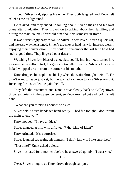"I bet," Silver said, sipping his wine. They both laughed, and Knox felt relief as the air lightened.

He relaxed, and they ended up talking about Silver's thesis and his own plans after graduation. They moved on to talking about their families, and during the main course Silver told him about his semester in Rome.

It was surprisingly easy to talk to Silver. Knox loved Silver's quick wit, and the easy way he listened. Silver's green eyes held his with interest, clearly enjoying their conversation. Knox couldn't remember the last time he'd had such a good time. They lingered over dessert.

Watching Silver fork bites of a chocolate soufflé into his mouth turned into an exercise in self-control, his gaze continually drawn to Silver's lips as he licked whipped cream from the corner of his mouth.

Knox dropped his napkin on his lap when the waiter brought their bill. He didn't want to leave just yet, but he wanted a chance to kiss Silver tonight. Reaching for his wallet, he paid the bill.

They left the restaurant and Knox drove slowly back to Collegetown. Silver sat quietly in the passenger seat, so Knox reached out and took his left hand.

"What are you thinking about?" he asked.

Silver held Knox's bandaged hand gently. "I had fun tonight. I don't want the night to end yet."

Knox nodded. "I have an idea."

Silver glanced at him with a frown. "What kind of idea?"

Knox grinned. "It's a surprise."

Silver laughed squeezing his fingers. "I don't know if I like surprises."

"Trust me?" Knox asked quietly.

Silver hesitated for a moment before he answered quietly. "I trust you."

\*\*\*\*

*Trust*, Silver thought, as Knox drove through campus.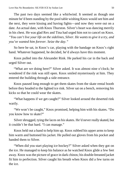The past two days seemed like a whirlwind. It seemed as though one minute he'd been standing by the pool table wishing Knox would see him and the next, they were kissing and having fights—and now they were out on a date. An actual date, with Knox Thurston. Silver's heart was dancing merrily in his chest. He was glad Rex and Tina had urged him not to cancel on Knox. *"You can't live your life on the sidelines, Silver. He wants to give it a try, and you've wanted him forever. Seize the day."*

So here he sat, in Knox's car, playing with the bandage on Knox's right hand. Whatever happened, he decided, he'd always have this moment.

Knox pulled into the Alexander Rink. He parked his car in the back and urged Silver out.

"What are we doing here?" Silver asked. It was almost nine o'clock; he wondered if the rink was still open. Knox smiled mysteriously at him. They entered the building through a side entrance.

Knox paused long enough to get them skates from the skate rental booth before they headed to the lighted ice rink. Silver sat on a bench, removing his kicks so that he could wear the skates.

"What happens if we get caught?" Silver looked around the deserted rink warily.

"We won't be caught," Knox promised, helping him with his skates. "Do you know how to skate?"

Silver shrugged, tying the laces on his skates. He'd never really skated, but it couldn't be that hard. "I can manage."

Knox held out a hand to help him up. Knox rubbed his upper arms to keep him warm and buttoned his jacket. He pulled out gloves from his pocket and handed them to Silver.

"When did you start playing ice hockey?" Silver asked when they got on the ice. He managed to keep his balance as he watched Knox glide a few feet away. Knox wasthe picture of grace in dark chinos; his double-breasted jacket fit him to perfection. Silver caught his breath when Knox did a few turns on the ice.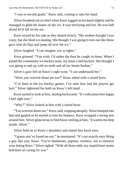"I was in second grade," Knox said, coming to take his hand.

Silver breathed out in relief when Knox tugged on his hand slightly and he managed to glide his skates on the ice. It was terrifying and fun. He was half afraid he'd fall on his ass.

Knox stayed by his side as they skated slowly. "My mother thought I was crazy, but she liked ice-skating. She thought I was going to turn out like those guys who do flips and jump all over the ice."

Silver laughed. "I can imagine you in tights."

Knox grinned. "You wish. I'd rather die than be caught in those. When I joined the community ice hockey team, my mum cried buckets. She thought I was going to end up with no teeth and all my bones broken."

Silver's gaze fell on Knox's right wrist. "I can understand her."

"Were you worried about me too?" Knox asked with a raised brow.

"I've been to the ice hockey games. I've seen how bad the players get hurt." Silver tightened his hold on Knox's left hand.

Knox turned to look at him, skating backwards. "It's ridiculous how happy I feel right now."

"Why?" Silver looked at him with a raised brow.

"You worried about me," Knox said, stopping abruptly. Silver bumped into him and gasped as he started to lose his balance. Knox wrapped a strong arm around him. Silver glanced up to find Knox smiling at him. "It warms me deep inside, Silver."

Silver held on to Knox's shoulders and stared into hazel eyes.

"I guess you've found me out," he murmured. "It's not exactly easy liking a guy like you, Knox. You're handsome, popular, reckless, not to mention your dating flaws." Silver sighed. "With all those odds, my stupid heart seems hell-bent on caring for you."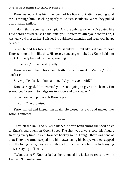Knox leaned to kiss him, the touch of his lips intoxicating, sending wild thrills through him. He clung tightly to Knox's shoulders. When they pulled apart, Knox smiled.

"I don't think your heart is stupid. And the only reason why I've dated like I did before was because I hadn't met you. Yesterday, after your confession, I wished we'd met earlier. I wished I'd paid more attention and seen your heart, Silver."

Silver buried his face into Knox's shoulder. It felt like a dream to have Knox talking to him like this. His resolve and anger melted as Knox held him tight. His body burned for Knox, needing him.

"I'm afraid," Silver said quietly.

Knox rocked them back and forth for a moment. "Me too," Knox confessed.

Silver pulled back to look at him. "Why are *you* afraid?"

Knox shrugged. "I'm worried you're not going to give us a chance. I'm scared you're going to judge me too soon and walk away."

Silver reached up to touch Knox's jaw.

"I won't," he promised.

Knox smiled and kissed him again. He closed his eyes and melted into Knox's embrace.

\*\*\*\*

They left the rink, and Silver clutched Knox's hand during the short drive to Knox's apartment on Cook Street. The rink was always cold, his fingers freezing every time he went to an ice hockey game. Tonight there was none of that; Knox's warmth seeped into him, awakening his body. As they stepped into the living room, they were both glad to discover a note from Jude saying he was staying at Tina's.

"Want coffee?" Knox asked as he removed his jacket to reveal a white Henley. "I'll make it—"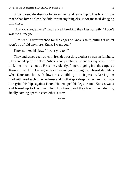Silver closed the distance between them and leaned up to kiss Knox. Now that he had him so close, he didn't want anything else. Knox moaned, dragging him close.

"Are you sure, Silver?" Knox asked, breaking their kiss abruptly. "I don't want to hurry you—"

"I'm sure." Silver reached for the edges of Knox's shirt, pulling it up. "I won't be afraid anymore, Knox. I want you."

Knox stroked his jaw, "I want you too."

They undressed each other in frenzied passion, clothes strewn on furniture. They ended up on the floor. Silver's body arched in silent ecstasy when Knox took him into his mouth. He came violently, fingers digging into the carpet as Knox stroked him. He begged for more and got it, clinging to broad shoulders when Knox took him with slow thrusts, building up their passion. Driving him mad with need each time he thrust and hit that spot deep inside him that made him grind his hips against Knox. He wrapped his legs around Knox's waist and leaned up to kiss him. Their lips fused, and they found their rhythm, finally coming apart in each other's arms.

\*\*\*\*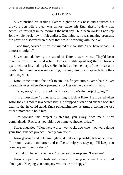#### CHAPTER 6

<span id="page-53-0"></span>Silver pushed his reading glasses higher on his nose and adjusted his drawing pen. His project was almost done; his final thesis review was scheduled for eight in the morning the next day. He'd been working nonstop for a whole week now; it felt endless. One minute, he was making progress, the next; he discovered an aspect that wasn't working with the plan.

"Food time, Silver." Knox interrupted his thoughts. "You have to eat; it's almost midnight."

Silver smiled, loving the sound of Knox's stern voice. They'd been together for a month and a half. Endless nights spent together at Knox's apartment, or his, making love. He blushed at the memory of their insatiable bouts. Their passion was unrelenting, burning him to a crisp each time they came together.

Knox came around the desk to sink his fingers into Silver's hair. Silver closed his eyes when Knox pressed a hot kiss on the back of his neck.

"Hello, sexy," Knox purred into his ear. "How's the project going?"

"I'm almost done," Silver said, turning to look at Knox. He moaned when Knox took his mouth in a heated kiss. He dropped his pen and pushed back his chair so that he could stand. Knox pulled him into his arms, breaking the kiss after a moment to hold him.

"I'm worried this project is stealing you away from me," Knox complained. "Rex says you didn't go home to shower today."

Silver chuckled. "You were worse two weeks ago when you were doing your final finance project. I barely saw you."

Knox groaned and held him tighter, if that were possible, before he let go. "I brought you a hamburger and coffee to help you stay up. I'll keep you company until you're done."

"You don't have to stay here," Silver said in surprise. "I mean—"

Knox stopped his protests with a kiss. "I love you, Silver. I'm worried about you. Keeping you company will make me happy."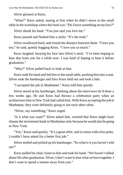Silver grinned at Knox.

"What?" Knox asked, staring at him when he didn't move to the small table in the workshop where the food was. "Do I have something on my face?"

Silver shook his head. "You just said you love me."

Knox paused and flashed him a smile. "It's the truth."

Silver swallowed hard, and closed the distance between them. "I love you too," he said, quietly hugging Knox. "I love you so much."

Knox laughed, burying his face into Silver's neck. "I've been hoping to hear that from you for a while now. I was kind of hoping to hear it before graduation."

"Why?" Silver pulled back to look at him.

Knox took his hand and led him to the small table, pushing him into a seat. Silver took the hamburger and fries Knox held out and took a bite.

"I accepted the job in Manhattan." Knox told him quietly.

Silver stared at his hamburger, thinking about the interviews he'd done a few weeks ago. He and Knox had thrown a celebration party when an architecture firm in New York had called him. With Knox accepting the job in Manhattan, they were definitely going to see each other often.

"Silver, say something," Knox urged.

"Is it what you want?" Silver asked him, worried that Knox might have chosen the investment bank in Manhattan only because he would also be going to New York.

"Yes," Knox said quietly. "It's a great offer, and it comes with a few perks. I couldn't have asked for a better first job."

Silver smiled and picked up his hamburger. "So what is it you haven't told me?"

Knox pulled his chair closer to him and took his hand. "We haven't talked about life after graduation. Silver, I don't want to lose what we have together. I don't want to spend a minute away from you."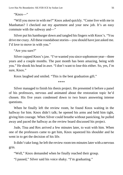Love Has No Boundaries: SILVER ICE by Suilan Lee 56

"Knox—"

"Will you move in with me?" Knox asked quickly. "Come live with me in Manhattan? I checked out my apartment and your new job. It's an easy commute with the subway and—"

Silver put his hamburger down and tangled his fingers with Knox's. "You drive me crazy. All these roundabout stories—you should have just asked me. I'd love to move in with you."

"Are you sure?"

Silver cupped Knox's jaw. "I've wanted you since sophomore year—three years and a couple months. The past month has been amazing, being with you." He shook his head in awe. "I don't want to lose this either. So, yes, I'm sure, Knox."

Knox laughed and smiled. "This is the best graduation gift."

\*\*\*\*

Silver managed to finish his thesis project. He presented it before a panel of his professors, nervous and animated about the restoration topic he'd chosen. His five years condensed down to two hours answering intense questions.

When he finally left the review room, he found Knox waiting in the hallway for him. Knox didn't talk; he opened his arms and held him tight, giving him courage. When Silver could breathe without panicking, he pulled away and paced the hallway as the review board discussed his project.

Jude, Tina and Rex arrived a few minutes later, to wait with him. When one of the professors came to get him, Knox squeezed his shoulder and he went in to get the decision of his life.

It didn't take long; he left the review room ten minutes later with a nervous grin.

"Well," Knox demanded when he finally reached their group.

"I passed," Silver said his voice shaky. "I'm graduating."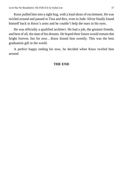Knox pulled him into a tight hug, with a loud shout of excitement. He was twirled around and passed to Tina and Rex, even to Jude. Silver finally found himself back in Knox's arms and he couldn't help the tears in his eyes.

He was officially a qualified architect. He had a job, the greatest friends, and best of all, the man of his dreams. He hoped their future would remain this bright forever, but for now…Knox kissed him sweetly. This was the best graduation gift in the world.

A perfect happy ending for now, he decided when Knox twirled him around.

#### **THE END**